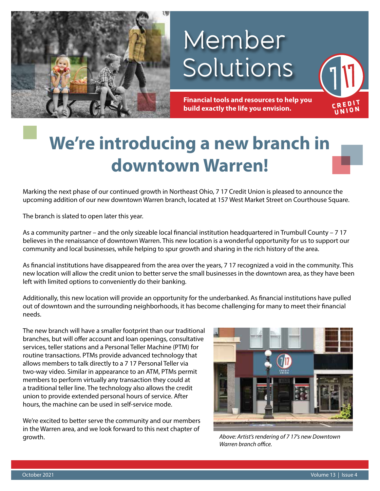

# Member Solutions

**Financial tools and resources to help you build exactly the life you envision.**

# **We're introducing a new branch in downtown Warren!**

Marking the next phase of our continued growth in Northeast Ohio, 7 17 Credit Union is pleased to announce the upcoming addition of our new downtown Warren branch, located at 157 West Market Street on Courthouse Square.

The branch is slated to open later this year.

As a community partner – and the only sizeable local financial institution headquartered in Trumbull County – 7 17 believes in the renaissance of downtown Warren. This new location is a wonderful opportunity for us to support our community and local businesses, while helping to spur growth and sharing in the rich history of the area.

As financial institutions have disappeared from the area over the years, 7 17 recognized a void in the community. This new location will allow the credit union to better serve the small businesses in the downtown area, as they have been left with limited options to conveniently do their banking.

Additionally, this new location will provide an opportunity for the underbanked. As financial institutions have pulled out of downtown and the surrounding neighborhoods, it has become challenging for many to meet their financial needs.

The new branch will have a smaller footprint than our traditional branches, but will offer account and loan openings, consultative services, teller stations and a Personal Teller Machine (PTM) for routine transactions. PTMs provide advanced technology that allows members to talk directly to a 7 17 Personal Teller via two-way video. Similar in appearance to an ATM, PTMs permit members to perform virtually any transaction they could at a traditional teller line. The technology also allows the credit union to provide extended personal hours of service. After hours, the machine can be used in self-service mode.

We're excited to better serve the community and our members in the Warren area, and we look forward to this next chapter of growth. *Above: Artist's rendering of 7 17's new Downtown* 



*Warren branch office.* 

**INION**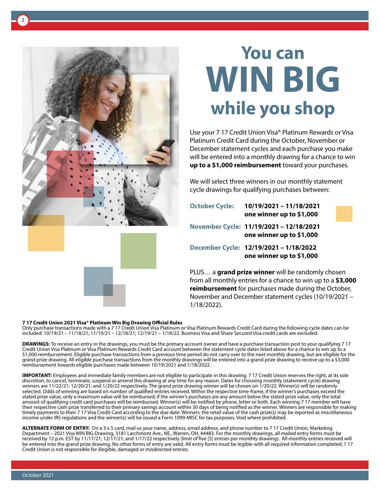

**2**

# **You can WIN BIG while you shop**

Use your 7 17 Credit Union Visa® Platinum Rewards or Visa Platinum Credit Card during the October, November or December statement cycles and each purchase you make will be entered into a monthly drawing for a chance to win **up to a \$1,000 reimbursement** toward your purchases.

We will select three winners in our monthly statement cycle drawings for qualifying purchases between:

**October Cycle: 10/19/2021 – 11/18/2021 one winner up to \$1,000 November Cycle: 11/19/2021 – 12/18/2021 one winner up to \$1,000 December Cycle: 12/19/2021 – 1/18/2022 one winner up to \$1,000** PLUS… a **grand prize winner** will be randomly chosen

from all monthly entries for a chance to win up to a **\$3,000 reimbursement** for purchases made during the October, November and December statement cycles (10/19/2021 – 1/18/2022).

#### **7 17 Credit Union 2021 Visa® Platinum Win Big Drawing Official Rules**

Only purchase transactions made with a 7 17 Credit Union Visa Platinum or Visa Platinum Rewards Credit Card during the following cycle dates can be included: 10/19/21 – 11/18/21; 11/19/21 – 12/18/21; 12/19/21 – 1/18/22. Business Visa and Share Secured Visa credit cards are excluded.

**DRAWINGS:** To receive an entry in the drawings, you must be the primary account owner and have a purchase transaction post to your qualifying 7 17 Credit Union Visa Platinum or Visa Platinum Rewards Credit Card account between the statement cycle dates listed above for a chance to win up to a \$1,000 reimbursement. Eligible purchase transactions from a previous time period do not carry over to the next monthly drawing, but are eligible for the grand prize drawing. All eligible purchase transactions from the monthly drawings will be entered into a grand prize drawing to receive up to a \$3,000 reimbursement towards eligible purchases made between 10/19/2021 and 1/18/2022.

**IMPORTANT:** Employees and immediate family members are not eligible to participate in this drawing. 7 17 Credit Union reserves the right, at its sole discretion, to cancel, terminate, suspend or amend this drawing at any time for any reason. Dates for choosing monthly (statement cycle) drawing winners are 11/22/21; 12/20/21; and 1/20/22 respectively. The grand prize drawing winner will be chosen on 1/20/22. Winner(s) will be randomly selected. Odds of winning are based on number of qualified entries received. Within the respective time-frame, if the winner's purchases exceed the stated prize value, only a maximum value will be reimbursed; if the winner's purchases are any amount below the stated prize value, only the total amount of qualifying credit card purchases will be reimbursed. Winner(s) will be notified by phone, letter or both. Each winning 7 17 member will have their respective cash prize transferred to their primary savings account within 30 days of being notified as the winner. Winners are responsible for making timely payments to their 7 17 Visa Credit Card according to the due date. Winners: the retail value of the cash prize(s) may be reported as miscellaneous income under IRS regulations and the winner(s) will be issued a Form 1099-MISC for tax purposes. Void where prohibited.

**ALTERNATE FORM OF ENTRY:** On a 3 x 5 card, mail us your name, address, email address, and phone number to 7 17 Credit Union, Marketing Department – 2021 Visa WIN BIG Drawing, 3181 Larchmont Ave., NE., Warren, OH, 44483. For the monthly drawings, all mailed entry forms must be received by 12 p.m. EST by 11/17/21; 12/17/21; and 1/17/22 respectively (limit of five [5] entries per monthly drawing). All monthly entries received will be entered into the grand prize drawing. No other forms of entry are valid. All entry forms must be legible with all required information completed; 7 17 Credit Union is not responsible for illegible, damaged or misdirected entries.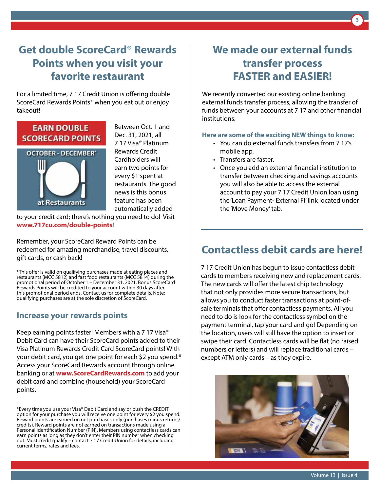# **Get double ScoreCard® Rewards Points when you visit your favorite restaurant**

For a limited time, 7 17 Credit Union is offering double ScoreCard Rewards Points\* when you eat out or enjoy takeout!



Between Oct. 1 and Dec. 31, 2021, all 7 17 Visa® Platinum Rewards Credit Cardholders will earn two points for every \$1 spent at restaurants. The good news is this bonus feature has been automatically added

to your credit card; there's nothing you need to do! Visit **www.717cu.com/double-points**!

Remember, your ScoreCard Reward Points can be redeemed for amazing merchandise, travel discounts, gift cards, or cash back!

\*This offer is valid on qualifying purchases made at eating places and restaurants (MCC 5812) and fast food restaurants (MCC 5814) during the promotional period of October 1 – December 31, 2021. Bonus ScoreCard Rewards Points will be credited to your account within 30 days after this promotional period ends. Contact us for complete details. Note: qualifying purchases are at the sole discretion of ScoreCard.

## **Increase your rewards points**

Keep earning points faster! Members with a 7 17 Visa® Debit Card can have their ScoreCard points added to their Visa Platinum Rewards Credit Card ScoreCard points! With your debit card, you get one point for each \$2 you spend.\* Access your ScoreCard Rewards account through online banking or at **www.ScoreCardRewards.com** to add your debit card and combine (household) your ScoreCard points.

\*Every time you use your Visa® Debit Card and say or push the CREDIT option for your purchase you will receive one point for every \$2 you spend. Reward points are earned on net purchases only (purchases minus returns/ credits). Reward points are not earned on transactions made using a Personal Identification Number (PIN). Members using contactless cards can earn points as long as they don't enter their PIN number when checking out. Must credit qualify – contact 7 17 Credit Union for details, including current terms, rates and fees.

## **We made our external funds transfer process FASTER and EASIER!**

**3**

We recently converted our existing online banking external funds transfer process, allowing the transfer of funds between your accounts at 7 17 and other financial institutions.

### **Here are some of the exciting NEW things to know:**

- You can do external funds transfers from 7 17's mobile app.
- Transfers are faster.
- Once you add an external financial institution to transfer between checking and savings accounts you will also be able to access the external account to pay your 7 17 Credit Union loan using the 'Loan Payment- External FI' link located under the 'Move Money' tab.

## **Contactless debit cards are here!**

7 17 Credit Union has begun to issue contactless debit cards to members receiving new and replacement cards. The new cards will offer the latest chip technology that not only provides more secure transactions, but allows you to conduct faster transactions at point-ofsale terminals that offer contactless payments. All you need to do is look for the contactless symbol on the payment terminal, tap your card and go! Depending on the location, users will still have the option to insert or swipe their card. Contactless cards will be flat (no raised numbers or letters) and will replace traditional cards – except ATM only cards – as they expire.

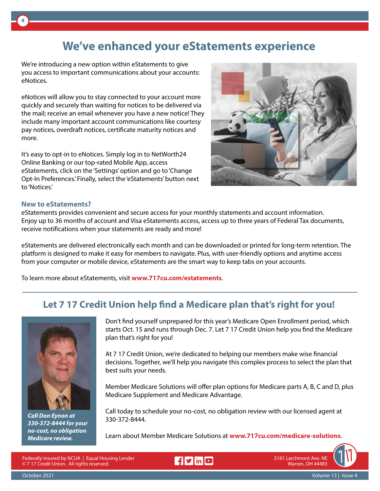# **We've enhanced your eStatements experience**

We're introducing a new option within eStatements to give you access to important communications about your accounts: eNotices.

eNotices will allow you to stay connected to your account more quickly and securely than waiting for notices to be delivered via the mail; receive an email whenever you have a new notice! They include many important account communications like courtesy pay notices, overdraft notices, certificate maturity notices and more.

It's easy to opt-in to eNotices. Simply log in to NetWorth24 Online Banking or our top-rated Mobile App, access eStatements, click on the 'Settings' option and go to 'Change Opt-In Preferences.' Finally, select the 'eStatements' button next to 'Notices.'



### **New to eStatements?**

**4**

eStatements provides convenient and secure access for your monthly statements and account information. Enjoy up to 36 months of account and Visa eStatements access, access up to three years of Federal Tax documents, receive notifications when your statements are ready and more!

eStatements are delivered electronically each month and can be downloaded or printed for long-term retention. The platform is designed to make it easy for members to navigate. Plus, with user-friendly options and anytime access from your computer or mobile device, eStatements are the smart way to keep tabs on your accounts.

To learn more about eStatements, visit **www.717cu.com/estatements**.

## **Let 7 17 Credit Union help find a Medicare plan that's right for you!**



*Call Don Eynon at 330-372-8444 for your no-cost, no obligation Medicare review.*

Don't find yourself unprepared for this year's Medicare Open Enrollment period, which starts Oct. 15 and runs through Dec. 7. Let 7 17 Credit Union help you find the Medicare plan that's right for you!

At 7 17 Credit Union, we're dedicated to helping our members make wise financial decisions. Together, we'll help you navigate this complex process to select the plan that best suits your needs.

Member Medicare Solutions will offer plan options for Medicare parts A, B, C and D, plus Medicare Supplement and Medicare Advantage.

Call today to schedule your no-cost, no obligation review with our licensed agent at 330-372-8444.

Learn about Member Medicare Solutions at **www.717cu.com/medicare-solutions**.

Federally insured by NCUA | Equal Housing Lender © 7 17 Credit Union. All rights reserved.

Frid

3181 Larchmont Ave. NE Warren, OH 44483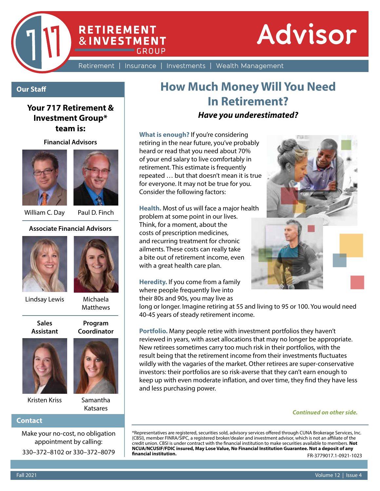

Retirement | Insurance | Investments | Wealth Management

## **Our Staff**

## **Your 717 Retirement & Investment Group\* team is:**

**Financial Advisors**





**RETIREMENT &INVESTMENT** 

**CROUP** 

William C. Day Paul D. Finch

#### **Associate Financial Advisors**



Lindsay Lewis Michaela

Matthews

**Program** 

**Sales Assistant**





# Kristen Kriss Samantha

Katsares

#### **Contact**

Make your no-cost, no obligation appointment by calling: 330–372–8102 or 330–372–8079

# **How Much Money Will You Need In Retirement?**

## *Have you underestimated?*

**What is enough?** If you're considering retiring in the near future, you've probably heard or read that you need about 70% of your end salary to live comfortably in retirement. This estimate is frequently repeated … but that doesn't mean it is true for everyone. It may not be true for you. Consider the following factors:

**Health.** Most of us will face a major health problem at some point in our lives. Think, for a moment, about the costs of prescription medicines, and recurring treatment for chronic ailments. These costs can really take a bite out of retirement income, even with a great health care plan.

**Heredity.** If you come from a family where people frequently live into their 80s and 90s, you may live as

long or longer. Imagine retiring at 55 and living to 95 or 100. You would need 40-45 years of steady retirement income.

**Portfolio.** Many people retire with investment portfolios they haven't reviewed in years, with asset allocations that may no longer be appropriate. New retirees sometimes carry too much risk in their portfolios, with the result being that the retirement income from their investments fluctuates wildly with the vagaries of the market. Other retirees are super-conservative investors: their portfolios are so risk-averse that they can't earn enough to keep up with even moderate inflation, and over time, they find they have less and less purchasing power.

#### *Continued on other side.*

\*Representatives are registered, securities sold, advisory services offered through CUNA Brokerage Services, Inc. (CBSI), member FINRA/SIPC, a registered broker/dealer and investment advisor, which is not an affiliate of the credit union. CBSI is under contract with the financial institution to make securities available to members. **Not NCUA/NCUSIF/FDIC insured, May Lose Value, No Financial Institution Guarantee. Not a deposit of any financial institution.**  FR-3779017.1-0921-1023